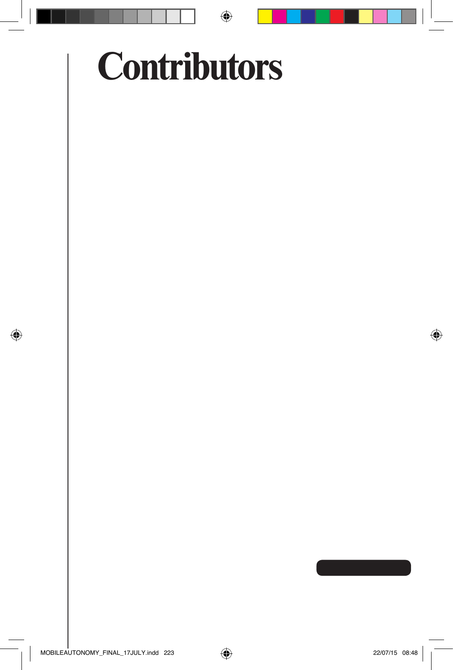## **Contributors**

 $\bigoplus$ 

◈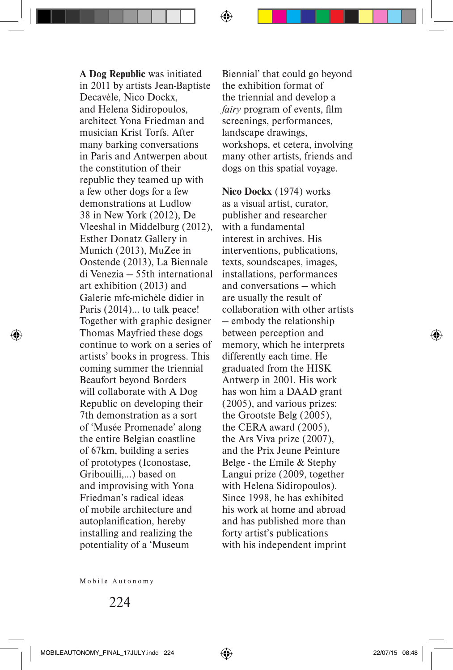**A Dog Republic** was initiated in 2011 by artists Jean-Baptiste Decavèle, Nico Dockx, and Helena Sidiropoulos, architect Yona Friedman and musician Krist Torfs. After many barking conversations in Paris and Antwerpen about the constitution of their republic they teamed up with a few other dogs for a few demonstrations at Ludlow 38 in New York (2012), De Vleeshal in Middelburg (2012), Esther Donatz Gallery in Munich (2013), MuZee in Oostende (2013), La Biennale di Venezia — 55th international art exhibition (2013) and Galerie mfc-michèle didier in Paris (2014)… to talk peace! Together with graphic designer Thomas Mayfried these dogs continue to work on a series of artists' books in progress. This coming summer the triennial Beaufort beyond Borders will collaborate with A Dog Republic on developing their 7th demonstration as a sort of 'Musée Promenade' along the entire Belgian coastline of 67km, building a series of prototypes (Iconostase, Gribouilli,…) based on and improvising with Yona Friedman's radical ideas of mobile architecture and autoplanification, hereby installing and realizing the potentiality of a 'Museum

◈

Biennial' that could go beyond the exhibition format of the triennial and develop a *fairy* program of events, film screenings, performances, landscape drawings, workshops, et cetera, involving many other artists, friends and dogs on this spatial voyage.

**Nico Dockx** (1974) works as a visual artist, curator, publisher and researcher with a fundamental interest in archives. His interventions, publications, texts, soundscapes, images, installations, performances and conversations — which are usually the result of collaboration with other artists — embody the relationship between perception and memory, which he interprets differently each time. He graduated from the HISK Antwerp in 2001. His work has won him a DAAD grant (2005), and various prizes: the Grootste Belg (2005), the CERA award (2005), the Ars Viva prize (2007), and the Prix Jeune Peinture Belge - the Emile & Stephy Langui prize (2009, together with Helena Sidiropoulos). Since 1998, he has exhibited his work at home and abroad and has published more than forty artist's publications with his independent imprint

Mobile Autonomy

⊕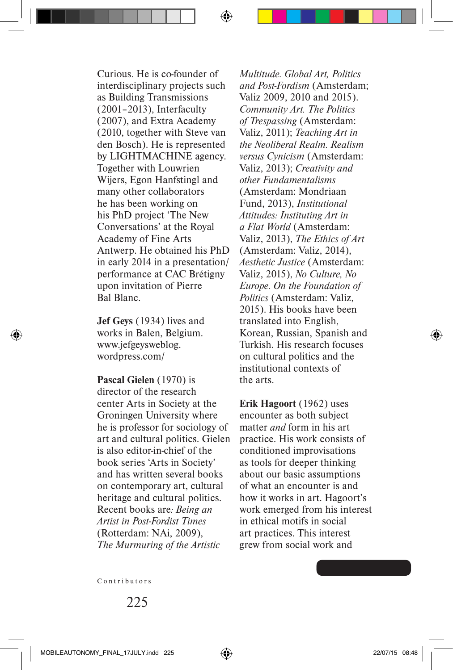Curious. He is co-founder of interdisciplinary projects such as Building Transmissions (2001–2013), Interfaculty (2007), and Extra Academy (2010, together with Steve van den Bosch). He is represented by LIGHTMACHINE agency. Together with Louwrien Wijers, Egon Hanfstingl and many other collaborators he has been working on his PhD project 'The New Conversations' at the Royal Academy of Fine Arts Antwerp. He obtained his PhD in early 2014 in a presentation/ performance at CAC Brétigny upon invitation of Pierre Bal Blanc.

**Jef Geys** (1934) lives and works in Balen, Belgium. www.jefgeysweblog. wordpress.com/

**Pascal Gielen** (1970) is director of the research center Arts in Society at the Groningen University where he is professor for sociology of art and cultural politics. Gielen is also editor-in-chief of the book series 'Arts in Society' and has written several books on contemporary art, cultural heritage and cultural politics. Recent books are*: Being an Artist in Post-Fordist Times* (Rotterdam: NAi, 2009), *The Murmuring of the Artistic* 

*Multitude. Global Art, Politics and Post-Fordism* (Amsterdam; Valiz 2009, 2010 and 2015). *Community Art. The Politics of Trespassing* (Amsterdam: Valiz, 2011); *Teaching Art in the Neoliberal Realm. Realism versus Cynicism* (Amsterdam: Valiz, 2013); *Creativity and other Fundamentalisms* (Amsterdam: Mondriaan Fund, 2013), *Institutional Attitudes: Instituting Art in a Flat World* (Amsterdam: Valiz, 2013), *The Ethics of Art* (Amsterdam: Valiz, 2014), *Aesthetic Justice* (Amsterdam: Valiz, 2015), *No Culture, No Europe. On the Foundation of Politics* (Amsterdam: Valiz, 2015). His books have been translated into English, Korean, Russian, Spanish and Turkish. His research focuses on cultural politics and the institutional contexts of the arts.

**Erik Hagoort** (1962) uses encounter as both subject matter *and* form in his art practice. His work consists of conditioned improvisations as tools for deeper thinking about our basic assumptions of what an encounter is and how it works in art. Hagoort's work emerged from his interest in ethical motifs in social art practices. This interest grew from social work and

Contributors

⊕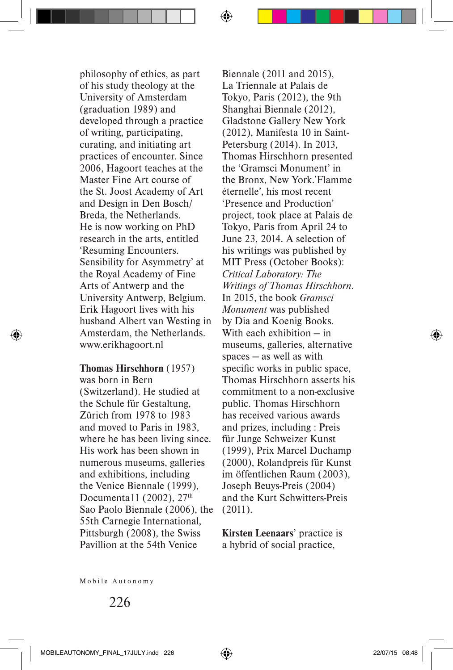philosophy of ethics, as part of his study theology at the University of Amsterdam (graduation 1989) and developed through a practice of writing, participating, curating, and initiating art practices of encounter. Since 2006, Hagoort teaches at the Master Fine Art course of the St. Joost Academy of Art and Design in Den Bosch/ Breda, the Netherlands. He is now working on PhD research in the arts, entitled 'Resuming Encounters. Sensibility for Asymmetry' at the Royal Academy of Fine Arts of Antwerp and the University Antwerp, Belgium. Erik Hagoort lives with his husband Albert van Westing in Amsterdam, the Netherlands. www.erikhagoort.nl

**Thomas Hirschhorn** (1957) was born in Bern (Switzerland). He studied at the Schule für Gestaltung, Zürich from 1978 to 1983 and moved to Paris in 1983, where he has been living since. His work has been shown in numerous museums, galleries and exhibitions, including the Venice Biennale (1999), Documenta11 (2002),  $27<sup>th</sup>$ Sao Paolo Biennale (2006), the 55th Carnegie International, Pittsburgh (2008), the Swiss Pavillion at the 54th Venice

Biennale (2011 and 2015), La Triennale at Palais de Tokyo, Paris (2012), the 9th Shanghai Biennale (2012), Gladstone Gallery New York (2012), Manifesta 10 in Saint-Petersburg (2014). In 2013, Thomas Hirschhorn presented the 'Gramsci Monument' in the Bronx, New York.'Flamme éternelle', his most recent 'Presence and Production' project, took place at Palais de Tokyo, Paris from April 24 to June 23, 2014. A selection of his writings was published by MIT Press (October Books): *Critical Laboratory: The Writings of Thomas Hirschhorn*. In 2015, the book *Gramsci Monument* was published by Dia and Koenig Books. With each exhibition — in museums, galleries, alternative spaces — as well as with specific works in public space, Thomas Hirschhorn asserts his commitment to a non-exclusive public. Thomas Hirschhorn has received various awards and prizes, including : Preis für Junge Schweizer Kunst (1999), Prix Marcel Duchamp (2000), Rolandpreis für Kunst im öffentlichen Raum (2003), Joseph Beuys-Preis (2004) and the Kurt Schwitters-Preis (2011).

**Kirsten Leenaars**' practice is a hybrid of social practice,

Mobile Autonomy

◈

♠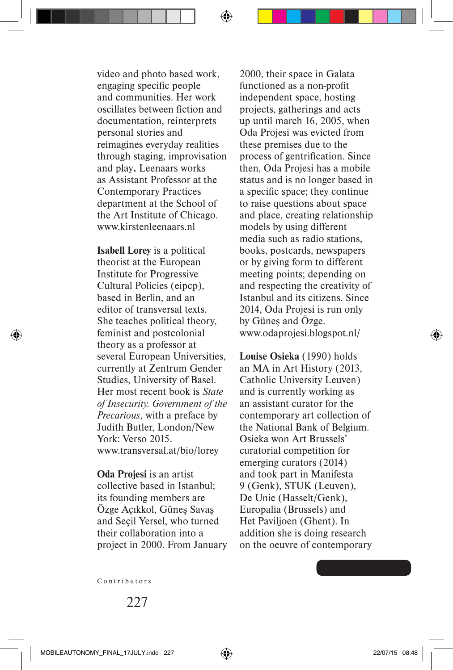video and photo based work, engaging specific people and communities. Her work oscillates between fiction and documentation, reinterprets personal stories and reimagines everyday realities through staging, improvisation and play**.** Leenaars works as Assistant Professor at the Contemporary Practices department at the School of the Art Institute of Chicago. www.kirstenleenaars.nl

**Isabell Lorey** is a political theorist at the European Institute for Progressive Cultural Policies (eipcp), based in Berlin, and an editor of transversal texts. She teaches political theory, feminist and postcolonial theory as a professor at several European Universities, currently at Zentrum Gender Studies, University of Basel. Her most recent book is *State of Insecurity. Government of the Precarious*, with a preface by Judith Butler, London/New York: Verso 2015. www.transversal.at/bio/lorey

**Oda Projesi** is an artist collective based in Istanbul; its founding members are Özge Açıkkol, Güneş Savaş and Seçil Yersel, who turned their collaboration into a project in 2000. From January

2000, their space in Galata functioned as a non-profit independent space, hosting projects, gatherings and acts up until march 16, 2005, when Oda Projesi was evicted from these premises due to the process of gentrification. Since then, Oda Projesi has a mobile status and is no longer based in a specific space; they continue to raise questions about space and place, creating relationship models by using different media such as radio stations, books, postcards, newspapers or by giving form to different meeting points; depending on and respecting the creativity of Istanbul and its citizens. Since 2014, Oda Projesi is run only by Güneş and Özge. www.odaprojesi.blogspot.nl/

**Louise Osieka** (1990) holds an MA in Art History (2013, Catholic University Leuven) and is currently working as an assistant curator for the contemporary art collection of the National Bank of Belgium. Osieka won Art Brussels' curatorial competition for emerging curators (2014) and took part in Manifesta 9 (Genk), STUK (Leuven), De Unie (Hasselt/Genk), Europalia (Brussels) and Het Paviljoen (Ghent). In addition she is doing research on the oeuvre of contemporary

Contributors

227

⊕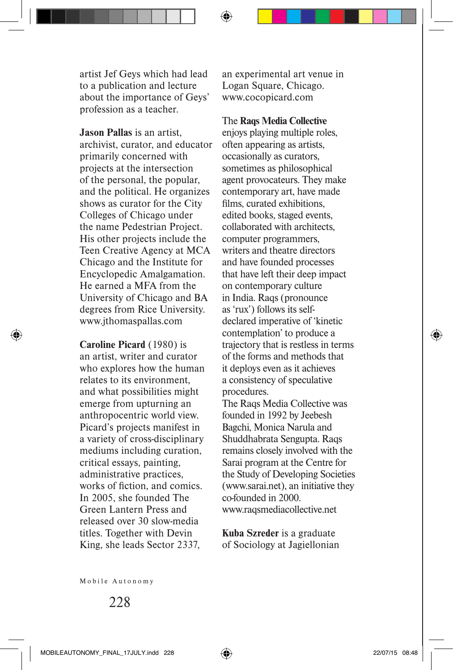artist Jef Geys which had lead to a publication and lecture about the importance of Geys' profession as a teacher.

**Jason Pallas** is an artist, archivist, curator, and educator primarily concerned with projects at the intersection of the personal, the popular, and the political. He organizes shows as curator for the City Colleges of Chicago under the name Pedestrian Project. His other projects include the Teen Creative Agency at MCA Chicago and the Institute for Encyclopedic Amalgamation. He earned a MFA from the University of Chicago and BA degrees from Rice University. www.jthomaspallas.com

**Caroline Picard** (1980) is an artist, writer and curator who explores how the human relates to its environment, and what possibilities might emerge from upturning an anthropocentric world view. Picard's projects manifest in a variety of cross-disciplinary mediums including curation, critical essays, painting, administrative practices, works of fiction, and comics. In 2005, she founded The Green Lantern Press and released over 30 slow-media titles. Together with Devin King, she leads Sector 2337,

◈

an experimental art venue in Logan Square, Chicago. www.cocopicard.com

## The **Raqs Media Collective**

enjoys playing multiple roles. often appearing as artists, occasionally as curators, sometimes as philosophical agent provocateurs. They make contemporary art, have made films, curated exhibitions, edited books, staged events, collaborated with architects, computer programmers, writers and theatre directors and have founded processes that have left their deep impact on contemporary culture in India. Raqs (pronounce as 'rux') follows its selfdeclared imperative of 'kinetic contemplation' to produce a trajectory that is restless in terms of the forms and methods that it deploys even as it achieves a consistency of speculative procedures.

The Raqs Media Collective was founded in 1992 by Jeebesh Bagchi, Monica Narula and Shuddhabrata Sengupta. Raqs remains closely involved with the Sarai program at the Centre for the Study of Developing Societies (www.sarai.net), an initiative they co-founded in 2000. www.raqsmediacollective.net

**Kuba Szreder** is a graduate of Sociology at Jagiellonian

Mobile Autonomy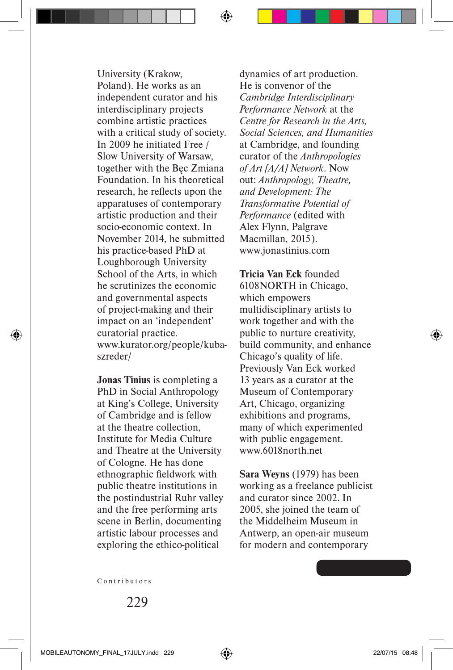University (Krakow, Poland). He works as an independent curator and his interdisciplinary projects combine artistic practices with a critical study of society. In 2009 he initiated Free / Slow University of Warsaw, together with the Bęc Zmiana Foundation. In his theoretical research, he reflects upon the apparatuses of contemporary artistic production and their socio-economic context. In November 2014, he submitted his practice-based PhD at Loughborough University School of the Arts, in which he scrutinizes the economic and governmental aspects of project-making and their impact on an 'independent' curatorial practice. www.kurator.org/people/kubaszreder/

**Jonas Tinius** is completing a PhD in Social Anthropology at King's College, University of Cambridge and is fellow at the theatre collection, Institute for Media Culture and Theatre at the University of Cologne. He has done ethnographic fieldwork with public theatre institutions in the postindustrial Ruhr valley and the free performing arts scene in Berlin, documenting artistic labour processes and exploring the ethico-political

dynamics of art production. He is convenor of the *Cambridge Interdisciplinary Performance Network* at the *Centre for Research in the Arts, Social Sciences, and Humanities* at Cambridge, and founding curator of the *Anthropologies of Art [A/A] Network*. Now out: *Anthropology, Theatre, and Development: The Transformative Potential of Performance* (edited with Alex Flynn, Palgrave Macmillan, 2015). www.jonastinius.com

**Tricia Van Eck** founded 6108NORTH in Chicago, which empowers multidisciplinary artists to work together and with the public to nurture creativity, build community, and enhance Chicago's quality of life. Previously Van Eck worked 13 years as a curator at the Museum of Contemporary Art, Chicago, organizing exhibitions and programs, many of which experimented with public engagement. www.6018north.net

**Sara Weyns** (1979) has been working as a freelance publicist and curator since 2002. In 2005, she joined the team of the Middelheim Museum in Antwerp, an open-air museum for modern and contemporary

Contributors

 $229$